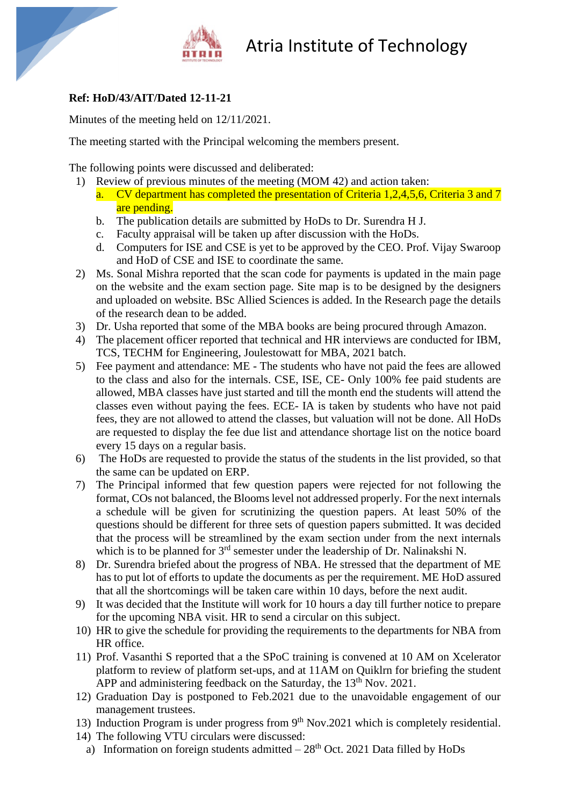

## **Ref: HoD/43/AIT/Dated 12-11-21**

Minutes of the meeting held on 12/11/2021.

The meeting started with the Principal welcoming the members present.

The following points were discussed and deliberated:

- 1) Review of previous minutes of the meeting (MOM 42) and action taken: a. CV department has completed the presentation of Criteria 1,2,4,5,6, Criteria 3 and 7 are pending.
	- b. The publication details are submitted by HoDs to Dr. Surendra H J.
	- c. Faculty appraisal will be taken up after discussion with the HoDs.
	- d. Computers for ISE and CSE is yet to be approved by the CEO. Prof. Vijay Swaroop and HoD of CSE and ISE to coordinate the same.
- 2) Ms. Sonal Mishra reported that the scan code for payments is updated in the main page on the website and the exam section page. Site map is to be designed by the designers and uploaded on website. BSc Allied Sciences is added. In the Research page the details of the research dean to be added.
- 3) Dr. Usha reported that some of the MBA books are being procured through Amazon.
- 4) The placement officer reported that technical and HR interviews are conducted for IBM, TCS, TECHM for Engineering, Joulestowatt for MBA, 2021 batch.
- 5) Fee payment and attendance: ME The students who have not paid the fees are allowed to the class and also for the internals. CSE, ISE, CE- Only 100% fee paid students are allowed, MBA classes have just started and till the month end the students will attend the classes even without paying the fees. ECE- IA is taken by students who have not paid fees, they are not allowed to attend the classes, but valuation will not be done. All HoDs are requested to display the fee due list and attendance shortage list on the notice board every 15 days on a regular basis.
- 6) The HoDs are requested to provide the status of the students in the list provided, so that the same can be updated on ERP.
- 7) The Principal informed that few question papers were rejected for not following the format, COs not balanced, the Blooms level not addressed properly. For the next internals a schedule will be given for scrutinizing the question papers. At least 50% of the questions should be different for three sets of question papers submitted. It was decided that the process will be streamlined by the exam section under from the next internals which is to be planned for 3<sup>rd</sup> semester under the leadership of Dr. Nalinakshi N.
- 8) Dr. Surendra briefed about the progress of NBA. He stressed that the department of ME has to put lot of efforts to update the documents as per the requirement. ME HoD assured that all the shortcomings will be taken care within 10 days, before the next audit.
- 9) It was decided that the Institute will work for 10 hours a day till further notice to prepare for the upcoming NBA visit. HR to send a circular on this subject.
- 10) HR to give the schedule for providing the requirements to the departments for NBA from HR office.
- 11) Prof. Vasanthi S reported that a the SPoC training is convened at 10 AM on Xcelerator platform to review of platform set-ups, and at 11AM on Quiklrn for briefing the student APP and administering feedback on the Saturday, the  $13<sup>th</sup>$  Nov. 2021.
- 12) Graduation Day is postponed to Feb.2021 due to the unavoidable engagement of our management trustees.
- 13) Induction Program is under progress from  $9<sup>th</sup> Nov.2021$  which is completely residential.
- 14) The following VTU circulars were discussed:
	- a) Information on foreign students admitted  $-28<sup>th</sup>$  Oct. 2021 Data filled by HoDs